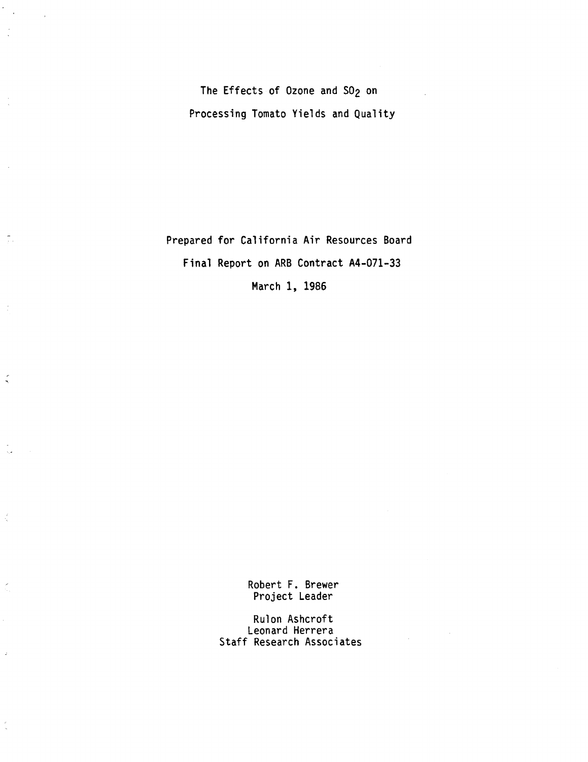The Effects of Ozone and SO<sub>2</sub> on Processing Tomato Yields and Quality

 $\frac{1}{2}$ 

 $\frac{1}{10}$ 

 $\overline{1}$ 

 $\zeta$ 

 $\frac{\epsilon}{2}$ 

 $\tilde{\zeta}$ 

J.

 $\frac{1}{\sqrt{2}}$ 

Prepared for California Air Resources Board Final Report on ARB Contract A4-071-33 March 1, 1986

> Robert F. Brewer Project Leader

Rulon Ashcroft Leonard Herrera Staff Research Associates

 $\sim 10$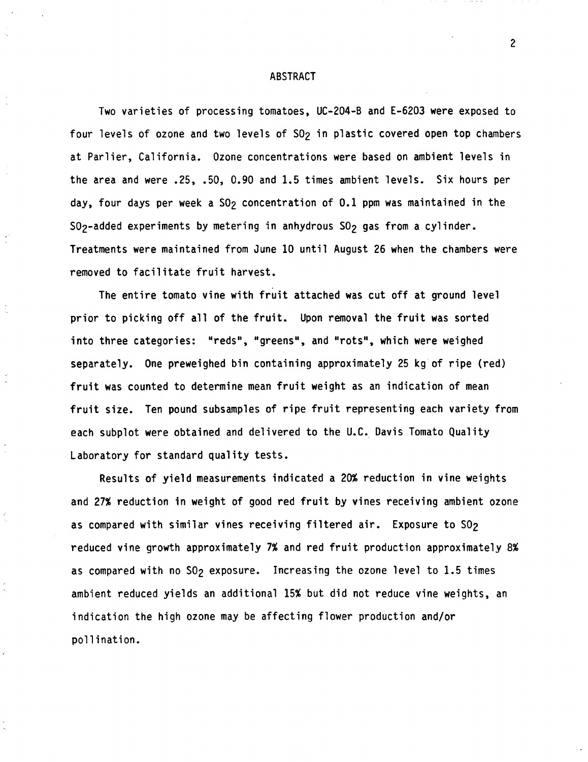#### ABSTRACT

Two varieties of processing tomatoes, UC-204-B and E-6203 were exposed to four levels of ozone and two levels of SO<sub>2</sub> in plastic covered open top chambers at Parlier, California. Ozone concentrations were based on ambient levels in the area and were .25, .50, 0.90 and 1.5 times ambient levels. Six hours per day, four days per week a SO<sub>2</sub> concentration of 0.1 ppm was maintained in the SO<sub>2</sub>-added experiments by metering in anhydrous SO<sub>2</sub> gas from a cylinder. Treatments were maintained from June 10 until August 26 when the chambers were removed to facilitate fruit harvest.

The entire tomato vine with fruit attached was cut off at ground level prior to picking off all of the fruit. Upon removal the fruit was sorted into three categories: "reds", "greens", and "rots", which were weighed separately. One preweighed bin containing approximately 25 kg of ripe (red) fruit was counted to determine mean fruit weight as an indication of mean fruit size. Ten pound subsamples of ripe fruit representing each variety from each subplot were obtained and delivered to the U.C. Davis Tomato Quality Laboratory for standard quality tests.

Results of yield measurements indicated a 20% reduction in vine weights and 27% reduction in weight of good red fruit by vines receiving ambient ozone as compared with similar vines receiving filtered air. Exposure to SO<sub>2</sub> reduced vine growth approximately 7% and red fruit production approximately 8% as compared with no  $SO_2$  exposure. Increasing the ozone level to 1.5 times ambient reduced yields an additional 15% but did not reduce vine weights, an indication the high ozone may be affecting flower production and/or pollination.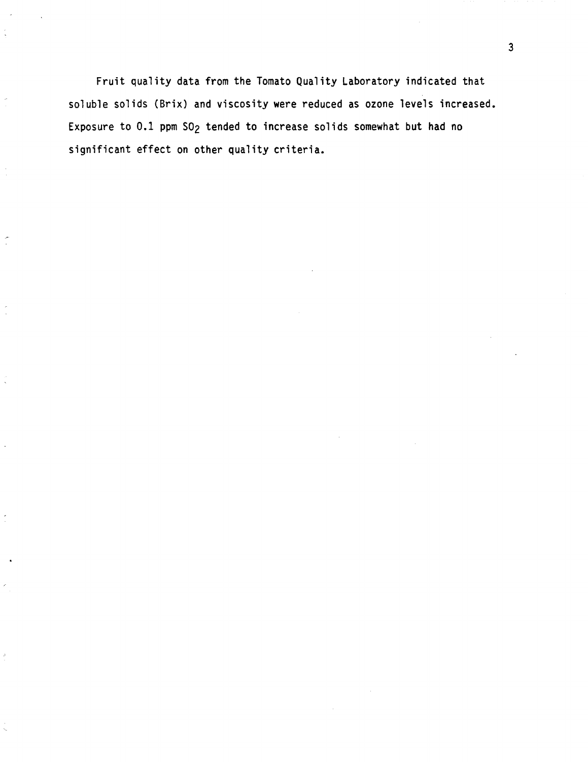Fruit quality data from the Tomato Quality Laboratory indicated that soluble solids (Brix) and viscosity were reduced as ozone levels increased. Exposure to 0.1 ppm SO<sub>2</sub> tended to increase solids somewhat but had no significant effect on other quality criteria.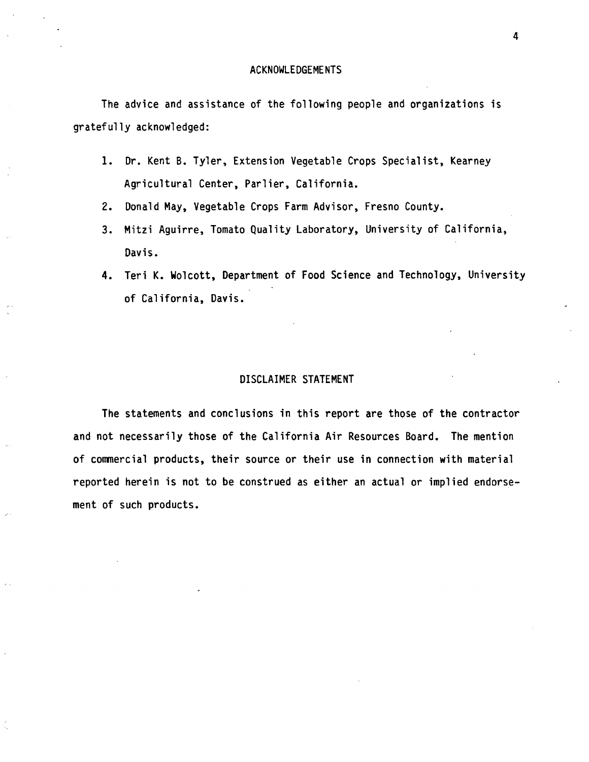The advice and assistance of the following people and organizations is gratefully acknowledged:

- 1. Dr. Kent B. Tyler, Extension Vegetable Crops Specialist, Kearney Agricultural Center, Parlier, California.
- 2. Donald **May,** Vegetable Crops Farm Advisor, Fresno County.
- 3. Mitzi Aguirre, Tomato Quality Laboratory, University of California, Davis.
- **4.** Teri K. Wolcott, Department of Food Science and Technology, University of California, Davis.

## DISCLAIMER STATEMENT

The statements and conclusions in this report are those of the contractor and not necessarily those of the California Air Resources Board. The mention of corrmercial products, their source or their use in connection with material reported herein is not to be construed as either an actual or implied endorsement of such products.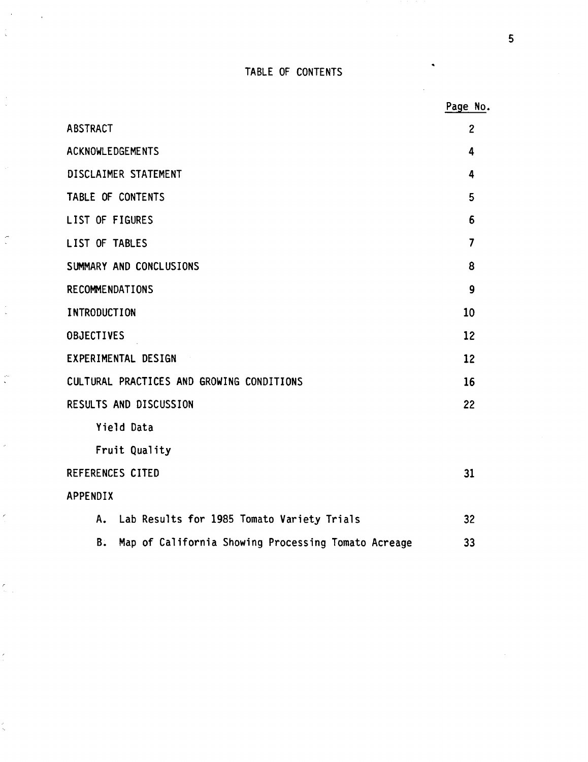# TABLE OF CONTENTS

 $\ddot{\phantom{0}}$ 

 $\infty$ 

 $\frac{1}{2}$ 

÷,

 $\frac{1}{2}$ 

 $\frac{1}{\sqrt{2}}$ 

l,

 $\epsilon$ 

 $\frac{\sum_{i=1}^{n} x_i}{\sum_{i=1}^{n} x_i}$ 

i.

|                                                           | Page No.          |
|-----------------------------------------------------------|-------------------|
| <b>ABSTRACT</b>                                           | $\overline{2}$    |
| <b>ACKNOWLEDGEMENTS</b>                                   | 4                 |
| DISCLAIMER STATEMENT                                      | 4                 |
| TABLE OF CONTENTS                                         | 5                 |
| LIST OF FIGURES                                           | 6                 |
| LIST OF TABLES                                            | $\overline{7}$    |
| SUMMARY AND CONCLUSIONS                                   | 8                 |
| RECOMMENDATIONS                                           | $\boldsymbol{9}$  |
| <b>INTRODUCTION</b>                                       | 10                |
| <b>OBJECTIVES</b>                                         | $12 \overline{ }$ |
| EXPERIMENTAL DESIGN                                       | 12                |
| CULTURAL PRACTICES AND GROWING CONDITIONS                 | 16                |
| RESULTS AND DISCUSSION                                    | 22                |
| Yield Data                                                |                   |
| Fruit Quality                                             |                   |
| REFERENCES CITED                                          | 31                |
| APPENDIX                                                  |                   |
| Lab Results for 1985 Tomato Variety Trials<br>Α.          | 32                |
| Map of California Showing Processing Tomato Acreage<br>Β. | 33                |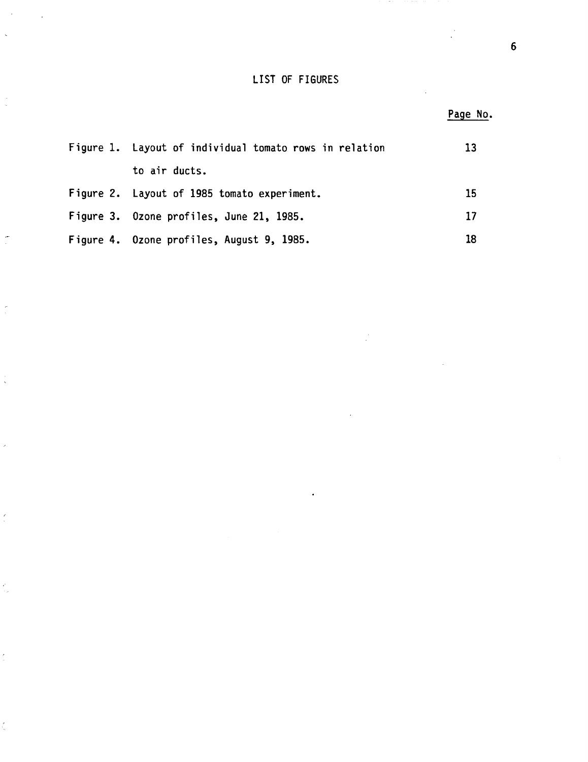## LIST OF FIGURES

 $\sim$   $\alpha$ 

 $\frac{1}{2}$ 

 $\epsilon$ 

 $\frac{1}{2}$ 

l,

 $\frac{\epsilon}{\epsilon}$ 

 $\frac{\lambda}{\lambda}$ 

ř,

 $\bar{a}$ 

|                                                        | Page No. |
|--------------------------------------------------------|----------|
| Figure 1. Layout of individual tomato rows in relation | 13       |
| to air ducts.                                          |          |
| Figure 2. Layout of 1985 tomato experiment.            | 15       |
| Figure 3. Ozone profiles, June 21, 1985.               | 17       |
| Figure 4. Ozone profiles, August 9, 1985.              | 18       |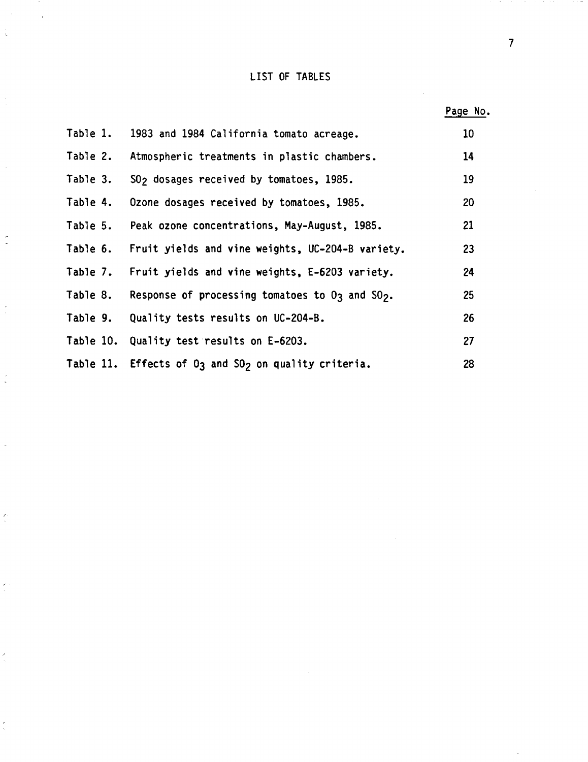# LIST OF TABLES

 $\sim$ 

 $\hat{\zeta}$ 

 $\frac{1}{2}$ 

 $\frac{1}{2}$ 

 $\frac{1}{2}$ 

 $\ddot{\cdot}$ 

 $\overline{\phantom{a}}$ 

 $\frac{\epsilon}{\epsilon}$ 

 $\frac{1}{\sqrt{2}}$  .

 $\hat{\zeta}$ 

 $\frac{1}{\sqrt{2}}$ 

 $\sim$ 

|          |                                                                  | Page No. |
|----------|------------------------------------------------------------------|----------|
| Table 1. | 1983 and 1984 California tomato acreage.                         | 10       |
| Table 2. | Atmospheric treatments in plastic chambers.                      | 14       |
| Table 3. | SO <sub>2</sub> dosages received by tomatoes, 1985.              | 19       |
| Table 4. | Ozone dosages received by tomatoes, 1985.                        | 20       |
| Table 5. | Peak ozone concentrations, May-August, 1985.                     | 21       |
| Table 6. | Fruit yields and vine weights, UC-204-B variety.                 | 23       |
| Table 7. | Fruit yields and vine weights, E-6203 variety.                   | 24       |
| Table 8. | Response of processing tomatoes to O3 and SO2.                   | 25       |
| Table 9. | Quality tests results on UC-204-B.                               | 26       |
|          | Table 10. Quality test results on E-6203.                        | 27       |
|          | Table 11. Effects of 03 and S0 <sub>2</sub> on quality criteria. | 28       |

7

 $\hat{\boldsymbol{\beta}}$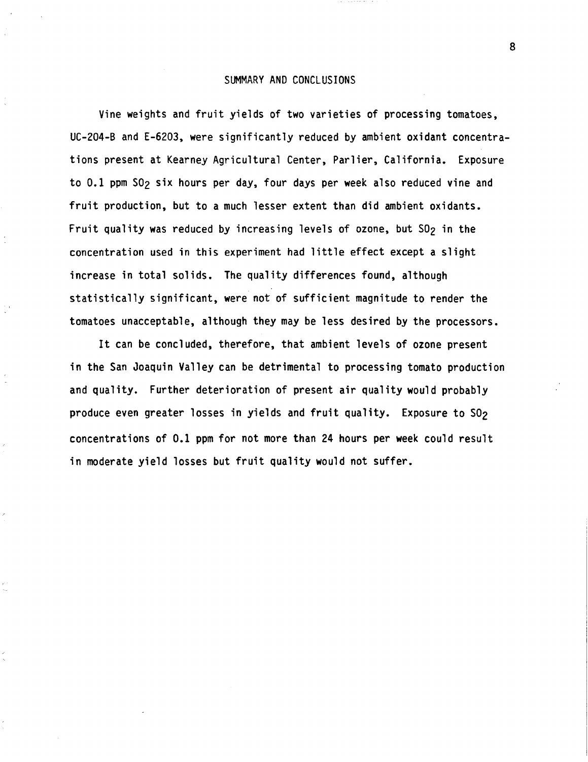### SUMMARY AND CONCLUSIONS

Vine weights and fruit yields of two varieties of processing tomatoes, UC-204-B and E-6203, were significantly reduced by ambient oxidant concentrations present at Kearney Agricultural Center, Parlier, California. Exposure to 0.1 ppm S02 six hours per day, four days per **week** also reduced vine and fruit production, but to a much lesser extent than did ambient oxidants. Fruit quality was reduced by increasing levels of ozone, but  $SO_2$  in the concentration used in this experiment had little effect except a slight increase in total solids. The quality differences found, although statistically significant, **were** not of sufficient magnitude to render the tomatoes unacceptable, although they may be less desired by the processors.

It can be concluded, therefore, that ambient levels of ozone present in the San Joaquin Valley can be detrimental to processing tomato production and quality. Further deterioration of present air quality would probably produce even greater losses in yields and fruit quality. Exposure to SO<sub>2</sub> concentrations of 0.1 ppm for not more than 24 hours per **week** could result in moderate yield losses but fruit quality would not suffer.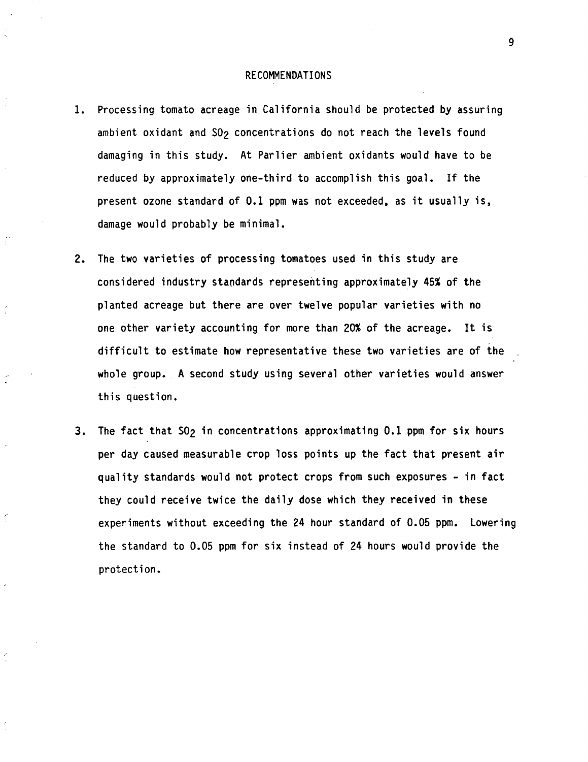### RECOMMENDATIONS

1. Processing tomato acreage in California should be protected by assuring ambient oxidant and SO<sub>2</sub> concentrations do not reach the levels found damaging in this study. At Parlier ambient oxidants would have to be reduced by approximately one-third to accomplish this goal. If the present ozone standard of 0.1 ppm was not exceeded, as it usually is, damage would probably be minimal.

Ť

- 2. The two varieties of processing tomatoes used in this study are considered industry standards representing approximately 45% of the planted acreage but there are over twelve popular varieties with no one other variety accounting for more than 20% of the acreage. It is difficult to estimate how representative these two varieties are of the whole group. A second study using several other varieties would answer this question.
- 3. The fact that SO<sub>2</sub> in concentrations approximating 0.1 ppm for six hours per day caused measurable crop loss points up the fact that present air quality standards would not protect crops from such exposures - in fact they could receive twice the daily dose which they received in these experiments without exceeding the 24 hour standard of 0.05 ppm. Lowering the standard to 0.05 ppm for six instead of 24 hours would provide the protection.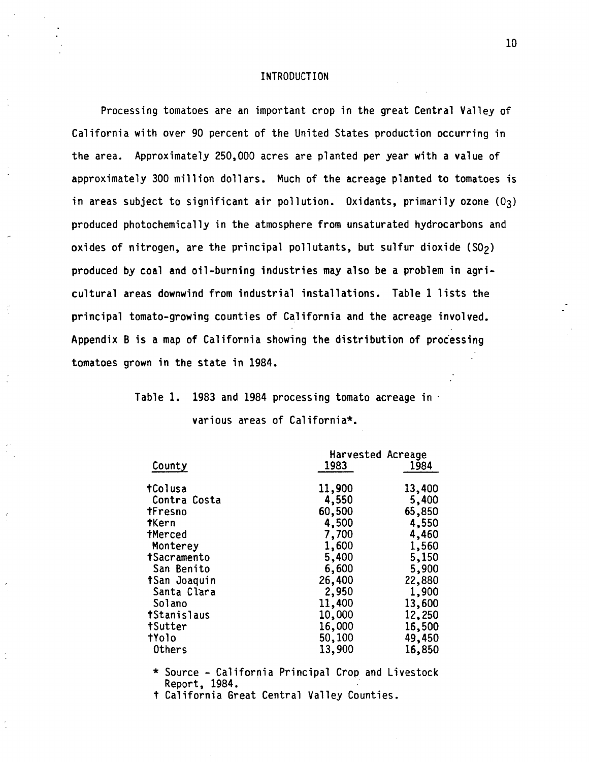## INTRODUCTION

Processing tomatoes are an important crop in the great Central Valley of California with over 90 percent of the United States production occurring in the area. Approximately 250,000 acres are planted per year with a value of approximately 300 million dollars. Much of the acreage planted to tomatoes is in areas subject to significant air pollution. Oxidants, primarily ozone  $(0<sub>3</sub>)$ produced photochemically in the atmosphere from unsaturated hydrocarbons and oxides of nitrogen, are the principal pollutants, but sulfur dioxide  $(S0<sub>2</sub>)$ produced by coal and oil-burning industries may also be a problem in agricultural areas downwind from industrial installations. Table 1 lists the principal tomato-growing counties of California and the acreage involved. Appendix Bis a map of California showing the distribution of processing tomatoes grown in the state in 1984.

# Table 1. 1983 and 1984 processing tomato acreage in various areas of California\*.

|                | Harvested Acreage |        |  |  |
|----------------|-------------------|--------|--|--|
| County         | 1983              | 1984   |  |  |
| tColusa        | 11,900            | 13,400 |  |  |
| Contra Costa   | 4,550             | 5,400  |  |  |
| tFresno        | 60,500            | 65,850 |  |  |
| tKern          | 4,500             | 4,550  |  |  |
| <b>tMerced</b> | 7,700             | 4,460  |  |  |
| Monterey       | 1,600             | 1,560  |  |  |
| tSacramento    | 5,400             | 5,150  |  |  |
| San Benito     | 6,600             | 5,900  |  |  |
| tSan Joaquin   | 26,400            | 22,880 |  |  |
| Santa Clara    | 2,950             | 1,900  |  |  |
| Solano         | 11,400            | 13,600 |  |  |
| tStanislaus    | 10,000            | 12,250 |  |  |
| tSutter        | 16,000            | 16,500 |  |  |
| tYolo          | 50,100            | 49,450 |  |  |
| <b>Others</b>  | 13,900            | 16,850 |  |  |

\* Source - California Principal Crop and Livestock Report, 1984.

t California Great Central Valley Counties.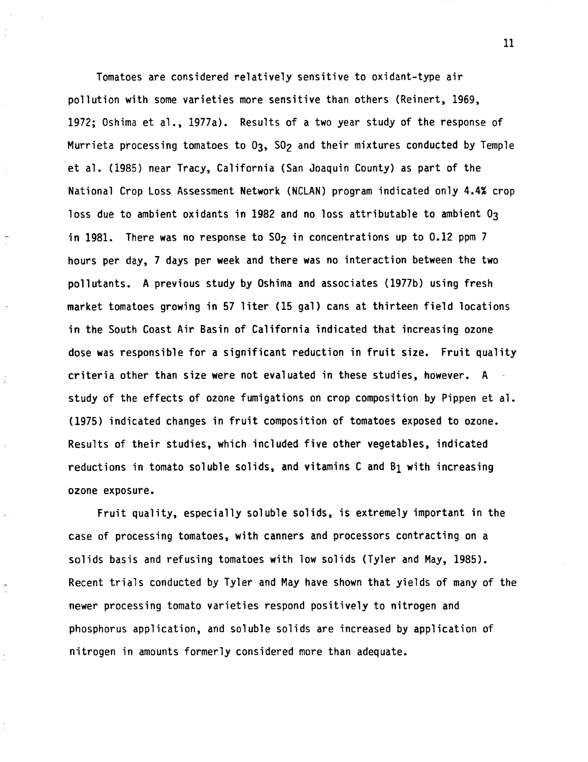Tomatoes are considered relatively sensitive to oxidant-type air pollution with some varieties more sensitive than others (Reinert, 1969, 1972; Oshima et al., 1977a). Results of a two year study of the response of Murrieta processing tomatoes to 03, S02 and their mixtures conducted by Temple et al. (1985) near Tracy, California (San Joaquin County) as part of the National Crop Loss Assessment Network (NCLAN) program indicated only 4.4% crop loss due to ambient oxidants in 1982 and no loss attributable to ambient  $0<sub>3</sub>$ in 1981. There was no response to  $SO<sub>2</sub>$  in concentrations up to 0.12 ppm 7 hours per day, 7 days per **week** and there was no interaction between the two pollutants. A previous study by Oshima and associates (1977b) using fresh market tomatoes growing in 57 liter (15 gal) cans at thirteen field locations in the South Coast Air Basin of California indicated that increasing ozone dose was responsible for a significant reduction in fruit size. Fruit quality criteria other than size were not evaluated in these studies, however. A study of the effects of ozone fumigations on crop composition by Pippen et al. (1975) indicated changes in fruit composition of tomatoes exposed to ozone. Results of their studies, which included five other vegetables, indicated reductions in tomato soluble solids, and vitamins C and B1 with increasing ozone exposure.

Ý.

Fruit quality, especially soluble solids, is extremely important in the case of processing tomatoes, with canners and processors contracting on a solids basis and refusing tomatoes with low solids (Tyler and May, 1985). Recent trials conducted by Tyler and May have shown that yields of many of the newer processing tomato varieties respond positively to nitrogen and phosphorus application, and soluble solids are increased by application of nitrogen in amounts formerly considered more than adequate.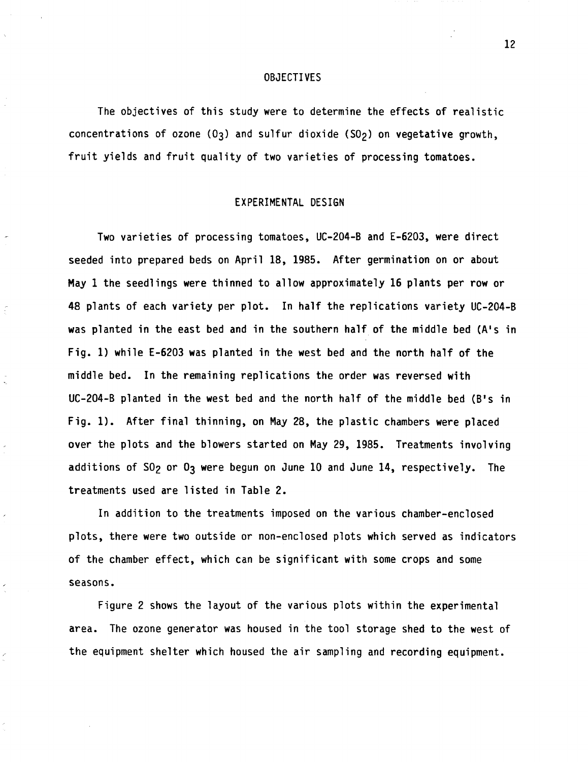### OBJECTIVES

The objectives of this study were to determine the effects of realistic concentrations of ozone  $(0<sub>3</sub>)$  and sulfur dioxide  $(S0<sub>2</sub>)$  on vegetative growth, fruit yields and fruit quality of two varieties of processing tomatoes.

## EXPERIMENTAL DESIGN

Two varieties of processing tomatoes, UC-204-B and E-6203, were direct seeded into prepared beds on April 18, 1985. After germination on or about May 1 the seedlings were thinned to allow approximately 16 plants per row or 48 plants of each variety per plot. In half the replications variety UC-204-B was planted in the east bed and in the southern half of the middle bed (A's in Fig. 1) while E-6203 was planted in the west bed and the north half of the middle bed. In the remaining replications the order was reversed with UC-204-B planted in the west bed and the north half of the middle bed (B's in Fig. 1). After final thinning, on May 28, the plastic chambers were placed over the plots and the blowers started on May 29, 1985. Treatments involving additions of  $S0<sub>2</sub>$  or  $0<sub>3</sub>$  were begun on June 10 and June 14, respectively. The treatments used are listed in Table 2.

In addition to the treatments imposed on the various chamber-enclosed plots, there were two outside or non-enclosed plots which served as indicators of the chamber effect, which can be significant with some crops and some seasons.

Figure 2 shows the layout of the various plots within the experimental area. The ozone generator was housed in the tool storage shed to the west of the equipment shelter which housed the air sampling and recording equipment.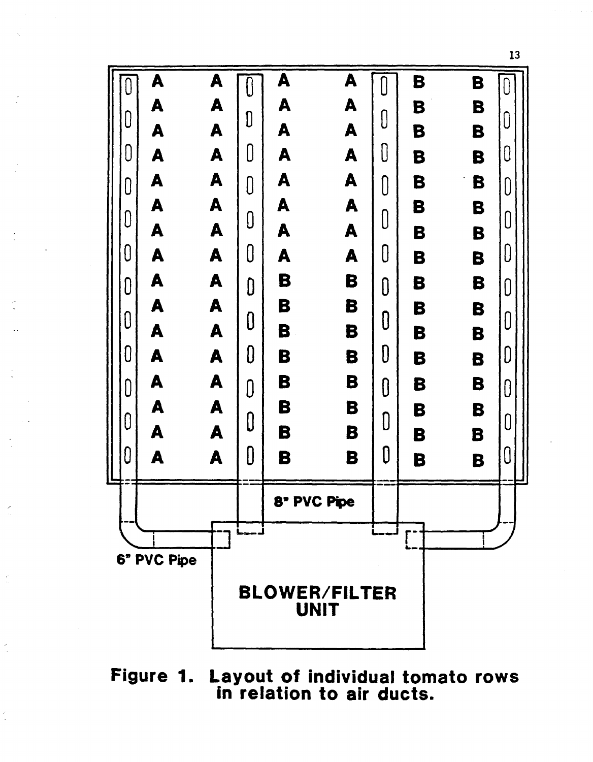

Figure 1. Layout of individual tomato rows in relation to air ducts.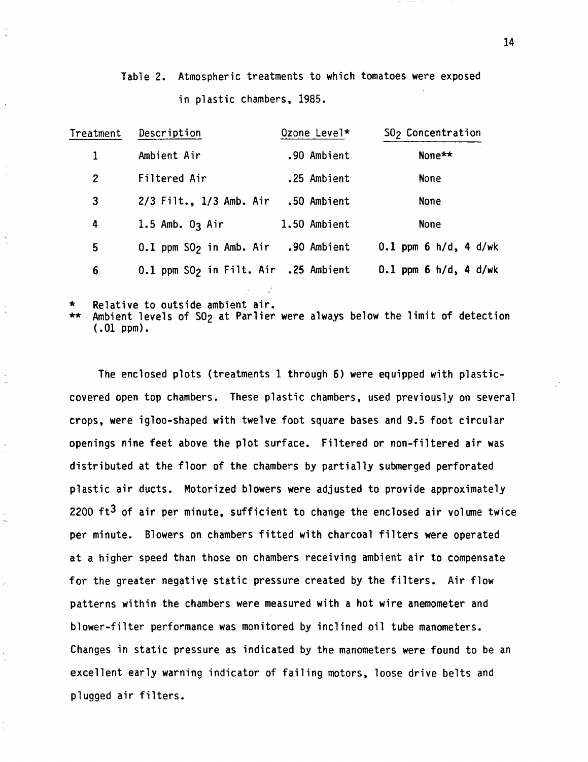| Table 2. Atmospheric treatments to which tomatoes were exposed |  |  |  |
|----------------------------------------------------------------|--|--|--|
| in plastic chambers, 1985.                                     |  |  |  |

| Treatment | Description                                      | Ozone Level* | SO <sub>2</sub> Concentration |
|-----------|--------------------------------------------------|--------------|-------------------------------|
| 1         | Ambient Air                                      | .90 Ambient  | None**                        |
| 2         | Filtered Air                                     | .25 Ambient  | None                          |
| 3         | 2/3 Filt., 1/3 Amb. Air                          | .50 Ambient  | None                          |
| 4         | 1.5 Amb. $03$ Air                                | 1.50 Ambient | None                          |
| 5         | 0.1 ppm SO <sub>2</sub> in Amb. Air .90 Ambient  |              | $0.1$ ppm 6 h/d, 4 d/wk       |
| 6         | 0.1 ppm SO <sub>2</sub> in Filt. Air .25 Ambient |              | $0.1$ ppm 6 h/d, 4 d/wk       |

Relative to outside ambient air.

Ambient levels of S0<sub>2</sub> at Parlier were always below the limit of detection ( .01 ppm).

The enclosed plots (treatments 1 through 6) were equipped with plasticcovered open top chambers. These plastic chambers, used previously on several crops, were igloo-shaped with twelve foot square bases and 9.5 foot circular openings nine feet above the plot surface. Filtered or non-filtered air was distributed at the floor of the chambers by partially submerged perforated plastic air ducts. Motorized blowers were adjusted to provide approximately 2200  $ft^3$  of air per minute, sufficient to change the enclosed air volume twice per minute. Blowers on chambers fitted with charcoal filters were operated at a higher speed than those on chambers receiving ambient air to compensate for the greater negative static pressure created by the filters. Air flow patterns within the chambers were measured with a hot wire anemometer and blower-filter performance was monitored by inclined oil tube manometers. Changes in static pressure as indicated by the manometers were found to be an excellent early warning indicator of failing motors, loose drive belts and plugged air filters.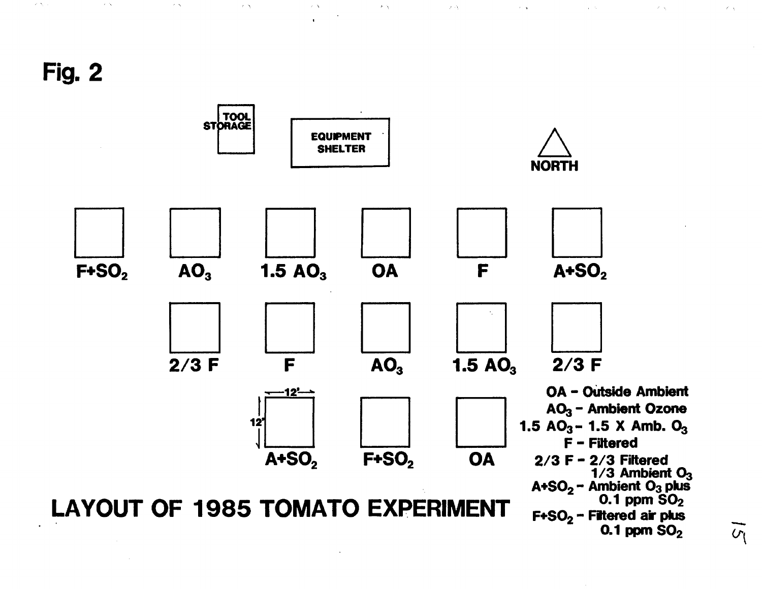Fig. 2

 $\sim 200$ 

 $\mathcal{F}(\mathcal{N})$ 

 $\lambda$   $\Delta$ 

 $\mathcal{C}=\mathcal{N}_\text{c}=\pi$ 



 $\mathcal{F}(\lambda)$ 

 $\lambda$  . A

 $\sim$   $\alpha$ 

 $\sim 10^{-1}$ 

 $\lambda$   $\Delta$ 

 $\mathcal{L}(\Delta)$ 

 $\lambda(\vec{\alpha})$ 

 $\tilde{v_1}$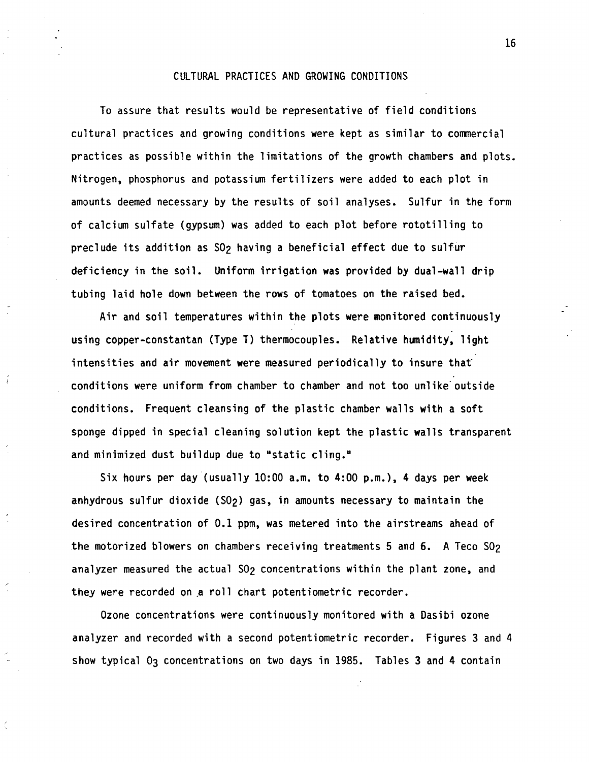### CULTURAL PRACTICES AND GROWING CONDITIONS

To assure that results would be representative of field conditions cultural practices and growing conditions were kept as similar to comnercial practices as possible within the limitations of the growth chambers and plots. Nitrogen, phosphorus and potassium fertilizers were added to each plot in amounts deemed necessary by the results of soil analyses. Sulfur in the form of calcium sulfate (gypsum) was added to each plot before rototilling to preclude its addition as S02 having a beneficial effect due to sulfur deficiency in the soil. Uniform irrigation was provided by dual-wall drip tubing laid hole down between the rows of tomatoes on the raised bed.

Air and soil temperatures within the plots **were** monitored continuously using copper-constantan (Type T) thermocouples. Relative humidity, light intensities and air movement were measured periodically to insure that conditions were uniform from chamber to chamber and not too unlike outside conditions. Frequent cleansing of the plastic chamber walls with a soft sponge dipped in special cleaning solution kept the plastic walls transparent and minimized dust buildup due to "static cling."

 $\tilde{\epsilon}$ 

Six hours per day (usually 10:00 a.m. to 4:00 p.m.), 4 days per week anhydrous sulfur dioxide (S02) gas, in amounts necessary to maintain the desired concentration of 0.1 ppm, was metered into the airstreams ahead of the motorized blowers on chambers receiving treatments 5 and  $6$ . A Teco  $S0<sub>2</sub>$ analyzer measured the actual SO<sub>2</sub> concentrations within the plant zone, and they were recorded on a roll chart potentiometric recorder.

Ozone concentrations were continuously monitored with a Dasibi ozone analyzer and recorded with a second potentiometric recorder. Figures 3 and 4 show typical 03 concentrations on two days in 1985. Tables 3 and 4 contain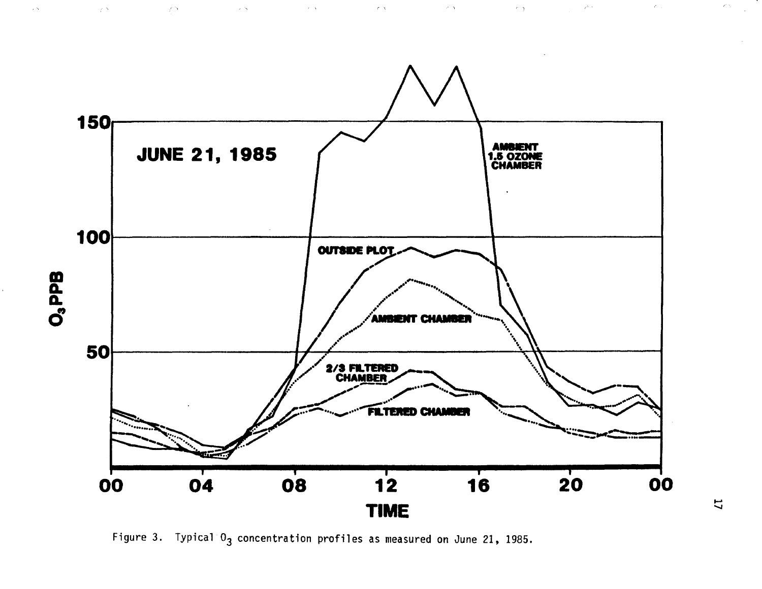

 $\gamma_{\rm c} \propto 1$ 

 $\sim$  7  $\times$ 

 $\sim$   $\sim$ 

 $\sim 10^{11}$  km  $^{-1}$ 

 $\mathcal{L}^{\text{max}}_{\text{max}}$  and  $\mathcal{L}^{\text{max}}_{\text{max}}$ 

 $\kappa$   $\chi$ 

 $\mathcal{A}^{\pm}$  As

 $\langle \hat{c} \rangle$  y

 $\mathcal{L}^{\mathcal{F}}$  ,  $\mathcal{L}^{\mathcal{F}}$ 

 $\mathcal{P}_{\text{max}}$ 

 $\mathscr{E}(\gamma)$ 

Figure 3. Typical  $0_3$  concentration profiles as measured on June 21, 1985.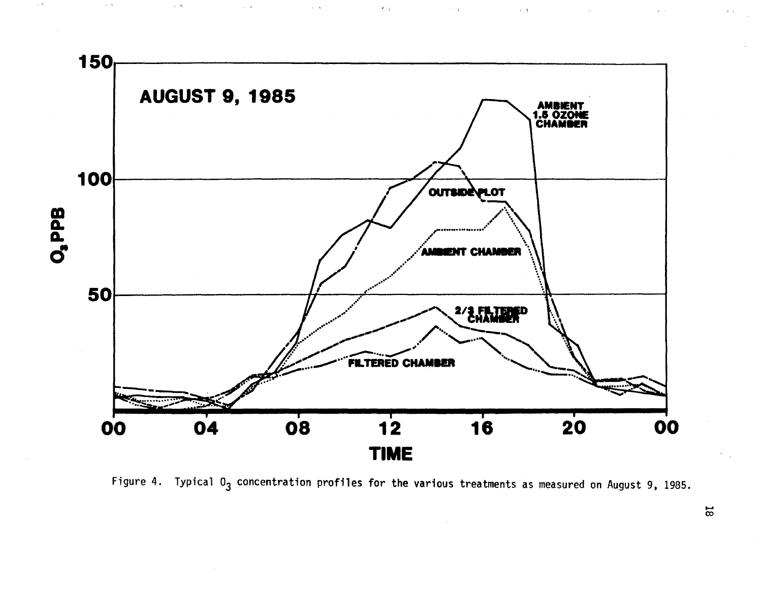

 $\geq$   $\Delta$ 

 $\alpha\in\mathcal{N}$ 

 $\sim 200$  M  $_{\odot}$ 

 $\mathcal{F}_{\rm eff}$ 

 $\sim \sqrt{3}$ 

 $\sim$   $\alpha$ 

 $\mathcal{L}$ 

Figure 4. Typical  $0_3$  concentration profiles for the various treatments as measured on August 9, 1985.

 $\overline{\infty}$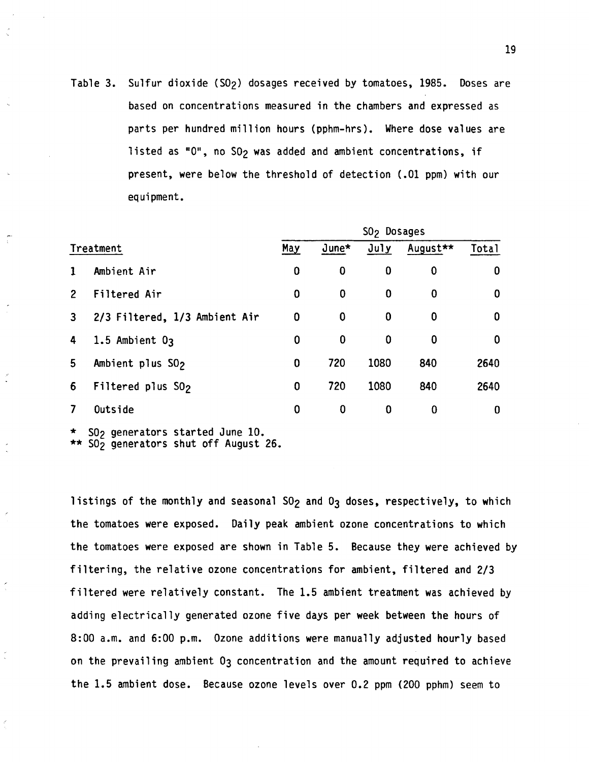Table 3. Sulfur dioxide (S02) dosages received by tomatoes, 1985. Doses are based on concentrations measured in the chambers and expressed as parts per hundred million hours (pphm-hrs). Where dose values are listed as " $0$ ", no SO<sub>2</sub> was added and ambient concentrations, if present, were below the threshold of detection (.01 ppm) with our equipment.

|              |                               | SO <sub>2</sub> Dosages |          |          |          |                  |  |
|--------------|-------------------------------|-------------------------|----------|----------|----------|------------------|--|
|              | Treatment                     | May                     | $June*$  | July     | August** | Total            |  |
| 1            | Ambient Air                   | $\bf{0}$                | 0        | $\bf{0}$ | 0        | 0                |  |
| $\mathbf{2}$ | Filtered Air                  | 0                       | 0        | 0        | 0        | 0                |  |
| 3            | 2/3 Filtered, 1/3 Ambient Air | 0                       | $\bf{0}$ | $\bf{0}$ | 0        | 0                |  |
| 4            | 1.5 Ambient $0_3$             | 0                       | $\bf{0}$ | $\bf{0}$ | 0        | 0                |  |
| 5.           | Ambient plus SO <sub>2</sub>  | 0                       | 720      | 1080     | 840      | 2640             |  |
| 6            | Filtered plus $S02$           | 0                       | 720      | 1080     | 840      | 2640             |  |
| 7            | Outside                       | 0                       | 0        | 0        | 0        | $\boldsymbol{0}$ |  |

\* SO<sub>2</sub> generators started June 10. \*\* S02 generators shut off August 26.

listings of the monthly and seasonal SO<sub>2</sub> and O<sub>3</sub> doses, respectively, to which the tomatoes were exposed. Daily peak ambient ozone concentrations to which the tomatoes were exposed are shown in Table 5. Because they were achieved by filtering, the relative ozone concentrations for ambient, filtered and 2/3 filtered were relatively constant. The 1.5 ambient treatment was achieved by adding electrically generated ozone five days per week between the hours of 8:00 a.m. and 6:00 p.m. Ozone additions were manually adjusted hourly based on the prevailing ambient 03 concentration and the amount required to achieve the 1.5 ambient dose. Because ozone levels over 0.2 ppm (200 pphm) seem to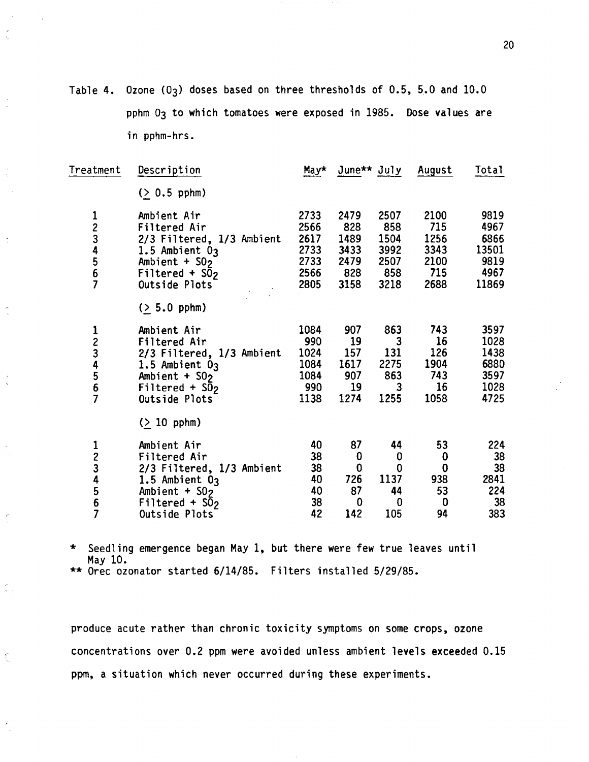Table 4. Ozone (03) doses based on three thresholds of 0.5, 5.0 and 10.0 pphm 03 to which tomatoes were exposed in 1985. Dose values are in pphm-hrs.

 $\cdot$ 

 $\tilde{\gamma}_k$ 

 $\frac{1}{\alpha}$ 

 $\frac{1}{2}$ 

 $\frac{1}{2}$ 

r<br>Sv

 $\frac{d}{dt}$ 

| Treatment   | Description                                                                                                                                                                   | May*                                                 | June** July August                                          |                                                                                         |                                                              | Total                                                  |
|-------------|-------------------------------------------------------------------------------------------------------------------------------------------------------------------------------|------------------------------------------------------|-------------------------------------------------------------|-----------------------------------------------------------------------------------------|--------------------------------------------------------------|--------------------------------------------------------|
|             | $( > 0.5$ pphm)                                                                                                                                                               |                                                      |                                                             |                                                                                         |                                                              |                                                        |
| 1<br>234567 | Ambient Air<br>Filtered Air<br>2/3 Filtered, 1/3 Ambient<br>1.5 Ambient $0_3$<br>Ambient + $S02$<br>Filtered + $S\overline{0}$ <sub>2</sub><br>Outside Plots                  | 2733<br>2566<br>2617<br>2733<br>2733<br>2566<br>2805 | 2479<br>828<br>1489<br>3433<br>2479<br>828<br>3158          | 2507<br>858<br>1504<br>3992<br>2507<br>858<br>3218                                      | 2100<br>715<br>1256<br>3343<br>2100<br>715<br>2688           | 9819<br>4967<br>6866<br>13501<br>9819<br>4967<br>11869 |
| 1234567     | $( > 5.0$ pphm)<br>Ambient Air<br>Filtered Air<br>2/3 Filtered, 1/3 Ambient<br>1.5 Ambient $0_3$<br>Ambient + $SO2$<br>Filtered + $S\bar{0}$ <sub>2</sub><br>Outside Plots    | 1084<br>990<br>1024<br>1084<br>1084<br>990<br>1138   | 907<br>19<br>157<br>1617<br>907<br>19<br>1274               | 863<br>$\overline{\mathbf{3}}$<br>131<br>2275<br>863<br>$\overline{\mathbf{3}}$<br>1255 | 743<br>16<br>126<br>1904<br>743<br>16<br>1058                | 3597<br>1028<br>1438<br>6880<br>3597<br>1028<br>4725   |
| 1234567     | $($ 10 pphm)<br>Ambient Air<br>Filtered Air<br>2/3 Filtered, 1/3 Ambient<br>1.5 Ambient $0_3$<br>Ambient + $SO_2$<br>Filtered + $S\overline{0}$ <sub>2</sub><br>Outside Plots | 40<br>38<br>38<br>40<br>40<br>38<br>42               | 87<br>0<br>$\bf{0}$<br>726<br>87<br>$\boldsymbol{0}$<br>142 | 44<br>0<br>$\bf{0}$<br>1137<br>44<br>$\bf{0}$<br>105                                    | 53<br>$\bf{0}$<br>$\bf{0}$<br>938<br>53<br>$\mathbf 0$<br>94 | 224<br>38<br>38<br>2841<br>224<br>38<br>383            |

\* Seedling emergence began May 1, but there were few true leaves until May 10.

\*\* Orec ozonator started 6/14/85. Filters installed 5/29/85.

produce acute rather than chronic toxicity symptoms on some crops, ozone concentrations over 0.2 ppm were avoided unless ambient levels exceeded 0.15 ppm, a situation which never occurred during these experiments.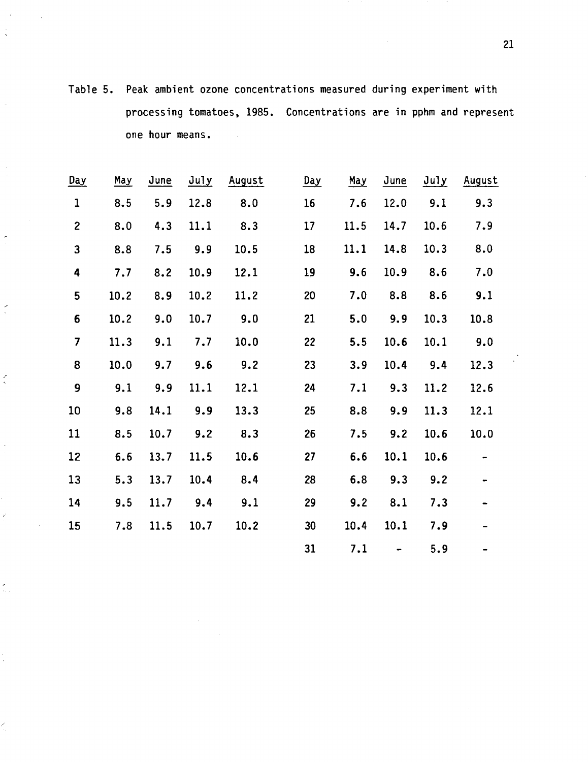Table 5. Peak ambient ozone concentrations measured during experiment with processing tomatoes, 1985. Concentrations are in pphm and represent one hour means.

| Day                     | <u>May</u> | June | July | August | <u>Day</u> | <u>May</u> | June | July | August |
|-------------------------|------------|------|------|--------|------------|------------|------|------|--------|
| $\mathbf{1}$            | 8.5        | 5.9  | 12.8 | 8.0    | 16         | 7.6        | 12.0 | 9.1  | 9.3    |
| $\mathbf{2}$            | 8.0        | 4.3  | 11.1 | 8.3    | 17         | 11.5       | 14.7 | 10.6 | 7.9    |
| 3                       | 8.8        | 7.5  | 9.9  | 10.5   | 18         | 11.1       | 14.8 | 10.3 | 8.0    |
| 4                       | 7.7        | 8.2  | 10.9 | 12.1   | 19         | 9.6        | 10.9 | 8.6  | 7.0    |
| 5                       | 10.2       | 8.9  | 10.2 | 11.2   | 20         | 7.0        | 8.8  | 8.6  | 9.1    |
| 6                       | 10.2       | 9.0  | 10.7 | 9.0    | 21         | 5.0        | 9.9  | 10.3 | 10.8   |
| $\overline{\mathbf{z}}$ | 11.3       | 9.1  | 7.7  | 10.0   | 22         | 5.5        | 10.6 | 10.1 | 9.0    |
| 8                       | 10.0       | 9.7  | 9.6  | 9.2    | 23         | 3.9        | 10.4 | 9.4  | 12.3   |
| 9                       | 9.1        | 9.9  | 11.1 | 12.1   | 24         | 7.1        | 9.3  | 11.2 | 12.6   |
| 10                      | 9.8        | 14.1 | 9.9  | 13.3   | 25         | 8.8        | 9.9  | 11.3 | 12.1   |
| 11                      | 8.5        | 10.7 | 9.2  | 8.3    | 26         | 7.5        | 9.2  | 10.6 | 10.0   |
| 12                      | 6.6        | 13.7 | 11.5 | 10.6   | 27         | 6.6        | 10.1 | 10.6 |        |
| 13                      | 5.3        | 13.7 | 10.4 | 8.4    | 28         | 6.8        | 9.3  | 9.2  |        |
| 14                      | 9.5        | 11.7 | 9.4  | 9.1    | 29         | 9.2        | 8.1  | 7.3  |        |
| 15                      | 7.8        | 11.5 | 10.7 | 10.2   | 30         | 10.4       | 10.1 | 7.9  |        |
|                         |            |      |      |        | 31         | 7.1        |      | 5.9  |        |

×

 $\frac{1}{2}$ 

 $\vec{r}$ 

Ž.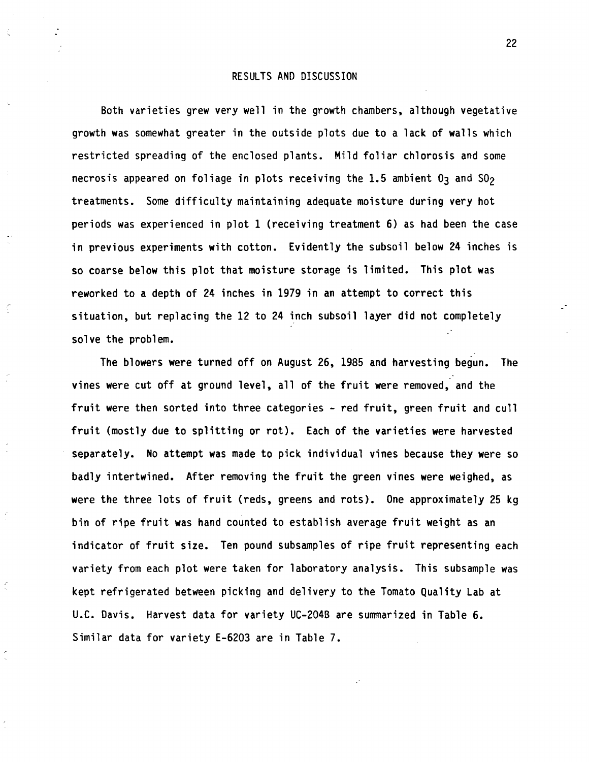### RESULTS AND DISCUSSION

Both varieties grew very well in the growth chambers, although vegetative growth was somewhat greater in the outside plots due to a lack of **walls** which restricted spreading of the enclosed plants. Mild foliar chlorosis and some necrosis appeared on foliage in plots receiving the 1.5 ambient  $0<sub>3</sub>$  and  $50<sub>2</sub>$ treatments. Some difficulty maintaining adequate moisture during very hot periods was experienced in plot 1 (receiving treatment 6) as had been the case in previous experiments **with** cotton. Evidently the subsoil below 24 inches is so coarse below this plot that moisture storage is limited. This plot was reworked to a depth of 24 inches in 1979 in an attempt to correct this situation, but replacing the 12 to 24 inch subsoil layer did not completely solve the problem.

The blowers were turned off on August 26, 1985 and harvesting begun. The vines were cut off at ground level, all of the fruit were removed, and the fruit were then sorted into three categories - red fruit, green fruit and cull fruit (mostly due to splitting or rot). Each of the varieties were harvested separately. No attempt was made to pick individual vines because they were so badly intertwined. After removing the fruit the green vines were weighed, as were the three lots of fruit (reds, greens and rots). One approximately 25 kg bin of ripe fruit was hand counted to establish average fruit weight as an indicator of fruit size. Ten pound subsamples of ripe fruit representing each variety from each plot were taken for laboratory analysis. This subsample was kept refrigerated between picking and delivery to the Tomato Quality Lab at U.C. Davis. Harvest data for variety UC-204B are summarized in Table 6. Similar data for variety E-6203 are in Table 7.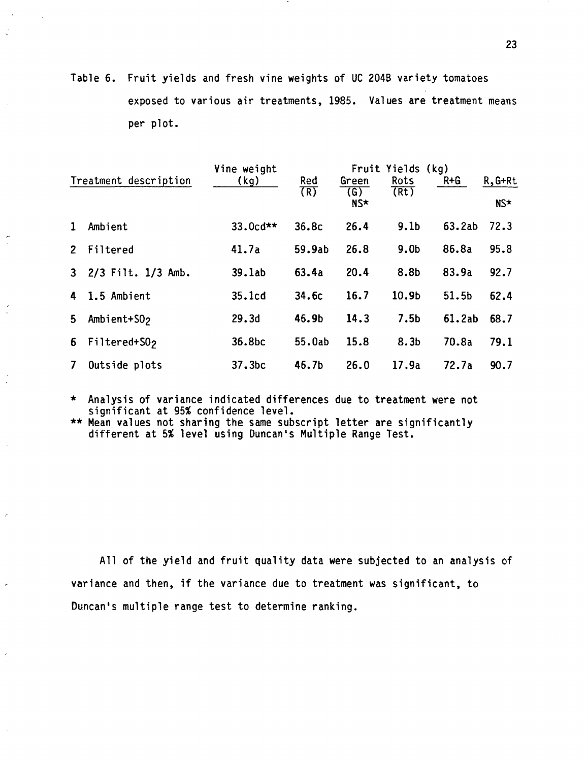Table 6. Fruit yields and fresh vine weights of UC 2048 variety tomatoes exposed to various air treatments, 1985. Values are treatment means per plot.

|                |                         | Vine weight        |        |                          | Fruit Yields (kg) |         |           |
|----------------|-------------------------|--------------------|--------|--------------------------|-------------------|---------|-----------|
|                | Treatment description   | (kg)               | Red    | Green                    | Rots              | $R + G$ | $R, G+Rt$ |
|                |                         |                    | (R)    | $\left( G\right)$<br>NS* | (Rt)              |         | NS*       |
| $\mathbf{1}$   | Ambient                 | 33.0cd**           | 36.8c  | 26.4                     | 9.1 <sub>b</sub>  | 63.2ab  | 72.3      |
| 2 <sup>2</sup> | Filtered                | 41.7a              | 59.9ab | 26.8                     | 9.0 <sub>b</sub>  | 86.8a   | 95.8      |
|                | 3 2/3 Filt. 1/3 Amb.    | 39.1ab             | 63.4a  | 20.4                     | 8.8b              | 83.9a   | 92.7      |
|                | 4 1.5 Ambient           | 35.1cd             | 34.6c  | 16.7                     | 10.9b             | 51.5b   | 62.4      |
| 5 <sub>1</sub> | Ambient+SO <sub>2</sub> | 29.3d              | 46.9b  | 14.3                     | 7.5 <sub>b</sub>  | 61.2ab  | 68.7      |
| 6 <sup>1</sup> | Filtered+S02            | 36.8bc             | 55.0ab | 15.8                     | 8.3 <sub>b</sub>  | 70.8a   | 79.1      |
| 7 <sup>7</sup> | Outside plots           | 37.3 <sub>bc</sub> | 46.7b  | 26.0                     | 17.9a             | 72.7a   | 90.7      |

\* Analysis of variance indicated differences due to treatment were not significant at 95% confidence level.

\*\* Mean values not sharing the same subscript letter are significantly different at 5% level using Duncan's Multiple Range Test.

All of the yield and fruit quality data were subjected to an analysis of variance and then, if the variance due to treatment was significant, to Duncan's multiple range test to determine ranking.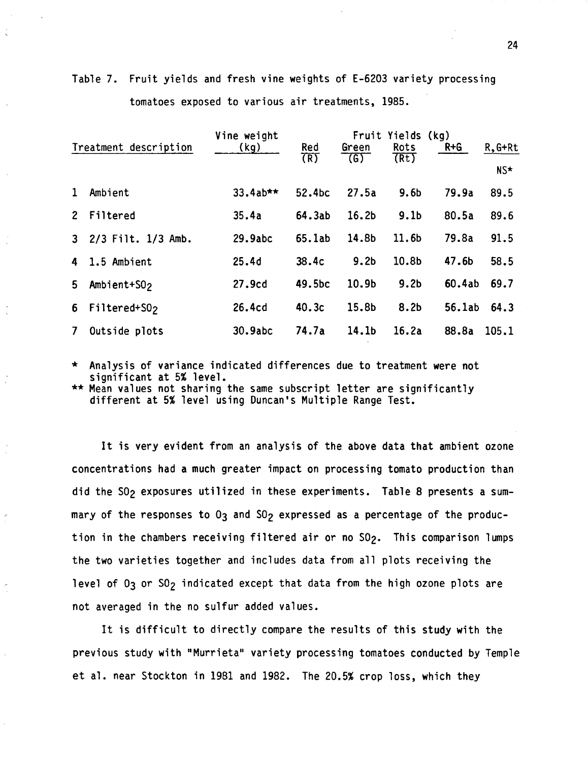|   | tomatoes exposed to various air treatments, 1985. |                     |                 |                   |                                   |         |                    |
|---|---------------------------------------------------|---------------------|-----------------|-------------------|-----------------------------------|---------|--------------------|
|   | Treatment description                             | Vine weight<br>(kg) | $rac{Red}{(R)}$ | Green<br>765      | Fruit Yields (kg)<br>Rots<br>(Rt) | $R + G$ | $R, G+Rt$<br>$NS*$ |
| 1 | Ambient                                           | $33.4ab**$          | 52.4bc          | 27.5a             | 9.6 <sub>b</sub>                  | 79.9a   | 89.5               |
|   | 2 Filtered                                        | 35.4a               | 64.3ab          | 16.2 <sub>b</sub> | 9.1 <sub>b</sub>                  | 80.5a   | 89.6               |

3 2/3 Filt. 1/3 Amb. 29.9abc 65.lab 14.8b 11.6b 79.Ba 91. 5

**4** 1.5 Ambient 25.4d 38.4c 9.2b 10.8b 47.6b 58.5

5 Ambient+S02 27.9cd 49.Sbc 10.9b 9.2b 60.4ab 69.7

6 Filtered+S02 26.4cd 40.3c 15.8b 8.2b 56.lab 64.3

7 Outside plots 30.9abc 74.7a 14.lb 16.2a 88.Ba 105.1

Table 7. Fruit yields and fresh vine weights of E-6203 variety processing tomatoes exposed to various air treatments, 1985.

Analysis of variance indicated differences due to treatment were not significant at 5% level.

\*\* Mean values not sharing the same subscript letter are significantly different at 5% level using Duncan's Multiple Range Test.

It is very evident from an analysis of the above data that ambient ozone concentrations had a much greater impact on processing tomato production than did the SO<sub>2</sub> exposures utilized in these experiments. Table 8 presents a summary of the responses to  $0<sub>3</sub>$  and  $S0<sub>2</sub>$  expressed as a percentage of the production in the chambers receiving filtered air or no SO<sub>2</sub>. This comparison lumps the two varieties together and includes data from all plots receiving the level of  $0<sub>3</sub>$  or  $50<sub>2</sub>$  indicated except that data from the high ozone plots are not averaged in the no sulfur added values.

It is difficult to directly compare the results of this study with the previous study with "Murrieta" variety processing tomatoes conducted by Temple et al. near Stockton in 1981 and 1982. The 20.5% crop loss, which they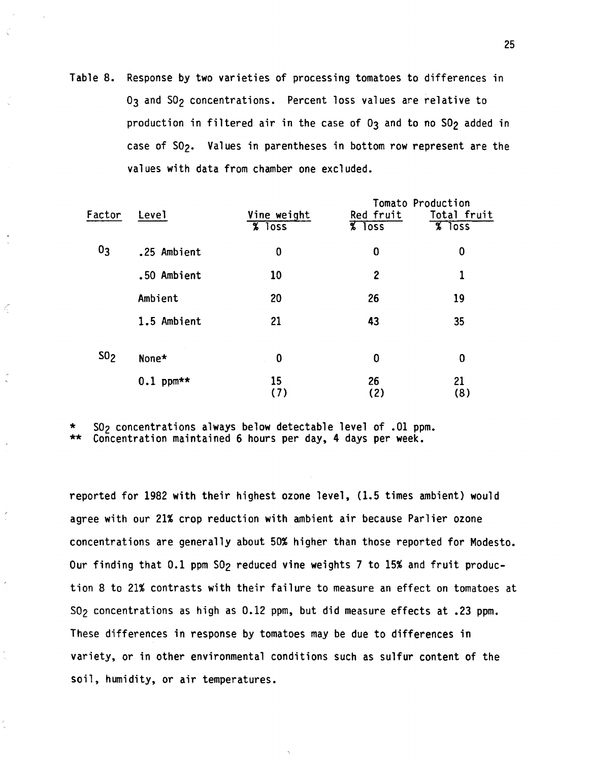Table 8. Response by two varieties of processing tomatoes to differences in 03 and S02 concentrations. Percent loss values are relative to production in filtered air in the case of  $0<sub>3</sub>$  and to no  $S0<sub>2</sub>$  added in case of S02. Values in parentheses in bottom row represent are the values with data from chamber one excluded.

|                |             |                     |                    | Tomato Production  |
|----------------|-------------|---------------------|--------------------|--------------------|
| Factor         | Level       | Vine weight         | Red fruit          | Total fruit        |
|                |             | $8 \overline{1055}$ | $\frac{8}{8}$ loss | $\frac{8}{8}$ loss |
| 0 <sub>3</sub> | .25 Ambient | 0                   | 0                  | 0                  |
|                | .50 Ambient | 10                  | $\mathbf{2}$       |                    |
|                | Ambient     | 20                  | 26                 | 19                 |
|                | 1.5 Ambient | 21                  | 43                 | 35                 |
| $S_0$          | None*       | 0                   | 0                  | 0                  |
|                | $0.1$ ppm** | 15<br>(7)           | 26<br>(2)          | 21<br>(8)          |

 $S0<sub>2</sub>$  concentrations always below detectable level of .01 ppm. \*\* Concentration maintained 6 hours per day, 4 days per week.

Ç

reported for 1982 with their highest ozone level, (1.5 times ambient) would agree with our 21% crop reduction with ambient air because Parlier ozone concentrations are generally about 50% higher than those reported for Modesto. Our finding that 0.1 ppm SO<sub>2</sub> reduced vine weights 7 to 15% and fruit production 8 to 21% contrasts with their failure to measure an effect on tomatoes at S02 concentrations as high as 0.12 ppm, but did measure effects at .23 ppm. These differences in response by tomatoes may be due to differences in variety, or in other environmental conditions such as sulfur content of the soil, humidity, or air temperatures.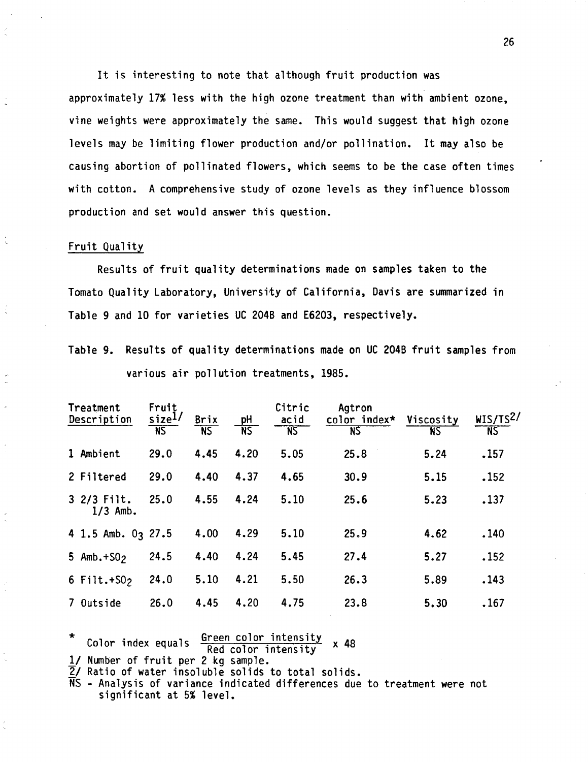It is interesting to note that although fruit production was approximately 17% less with the high ozone treatment than with ambient ozone, vine weights were approximately the same. This would suggest that high ozone levels may be limiting flower production and/or pollination. It may also be causing abortion of pollinated flowers, which seems to be the case often times with cotton. A comprehensive study of ozone levels as they influence blossom production and set would answer this question.

### Fruit Quality

Results of fruit quality determinations made on samples taken to the Tomato Quality Laboratory, University of California, Davis are summarized in Table 9 and 10 for varieties UC 204B and E6203, respectively.

Table 9. Results of quality determinations made on UC 2048 fruit samples from various air pollution treatments, 1985.

| Treatment<br>Description |                            | Fruit<br>size <sup>1/</sup><br>$\overline{\text{NS}}$ | Brix<br>$\overline{\text{NS}}$ | pH<br>$\overline{\text{NS}}$ | Citric<br>acid<br><b>NS</b> | Agtron<br>color index* Viscosity<br>N <sub>S</sub> | N <sub>S</sub> | WIS/TS <sup>2</sup><br><b>NS</b> |
|--------------------------|----------------------------|-------------------------------------------------------|--------------------------------|------------------------------|-----------------------------|----------------------------------------------------|----------------|----------------------------------|
|                          | 1 Ambient                  | 29.0                                                  | 4.45                           | 4.20                         | 5.05                        | 25.8                                               | 5.24           | .157                             |
|                          | 2 Filtered                 | 29.0                                                  | 4.40                           | 4.37                         | 4.65                        | 30.9                                               | 5.15           | .152                             |
|                          | $32/3$ Filt.<br>$1/3$ Amb. | 25.0                                                  | 4.55                           | 4.24                         | 5.10                        | 25.6                                               | 5.23           | .137                             |
|                          | 4 1.5 Amb. $03$ 27.5       |                                                       | 4.00                           | 4.29                         | 5.10                        | 25.9                                               | 4.62           | .140                             |
|                          | 5 Amb. $+502$              | 24.5                                                  | 4.40                           | 4.24                         | 5.45                        | 27.4                                               | 5.27           | .152                             |
|                          | 6 $Filt.+502$              | 24.0                                                  | 5.10                           | 4.21                         | 5.50                        | 26.3                                               | 5.89           | .143                             |
|                          | 7 Outside                  | 26.0                                                  | 4.45                           | 4.20                         | 4.75                        | 23.8                                               | 5.30           | .167                             |

Color index equals  $\frac{Green\ color\ intensity}{Red\ color\ intensity}$  x 48

 $\frac{1}{2}$  Number of fruit per 2 kg sample.<br> $\frac{1}{2}$  Ratio of water insoluble solids to total solids.

NS - Analysis of variance indicated differences due to treatment were not significant at 5% level.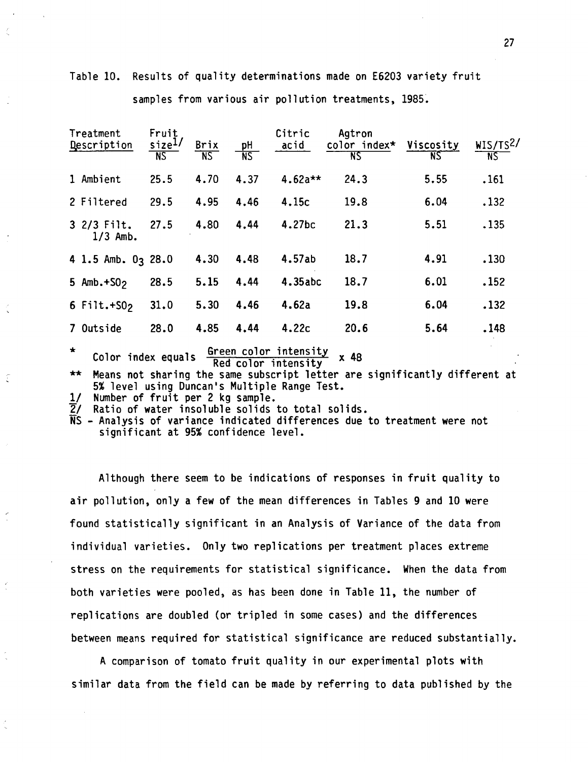| Treatment<br>Description |                                                                                                                                                                | Fruit<br>size <sup>1/</sup><br>N <sub>S</sub> | Brix<br>$\overline{\text{NS}}$ | pH<br>NS | Citric<br>$\overline{accid}$ | Agtron<br>color index* Viscosity<br>N <sub>S</sub> | ÑS   | WIS/TS <sup>2</sup> /<br>NS. |  |  |
|--------------------------|----------------------------------------------------------------------------------------------------------------------------------------------------------------|-----------------------------------------------|--------------------------------|----------|------------------------------|----------------------------------------------------|------|------------------------------|--|--|
|                          | 1 Ambient                                                                                                                                                      | 25.5                                          | 4.70                           | 4.37     | $4.62a**$                    | 24.3                                               | 5.55 | .161                         |  |  |
|                          | 2 Filtered                                                                                                                                                     | 29.5                                          | 4.95                           | 4.46     | 4.15c                        | 19.8                                               | 6.04 | .132                         |  |  |
|                          | $32/3$ Filt.<br>$1/3$ Amb.                                                                                                                                     | 27.5                                          | 4.80                           | 4.44     | 4.27 <sub>bc</sub>           | 21.3                                               | 5.51 | .135                         |  |  |
|                          | 4 1.5 Amb. 03 28.0                                                                                                                                             |                                               | 4.30                           | 4.48     | 4.57ab                       | 18.7                                               | 4.91 | .130                         |  |  |
|                          | 5 Amb. $+502$                                                                                                                                                  | 28.5                                          | 5.15                           | 4.44     | 4.35abc                      | 18.7                                               | 6.01 | .152                         |  |  |
|                          | 6 $Filt.+502$                                                                                                                                                  | 31.0                                          | 5.30                           | 4.46     | 4.62a                        | 19.8                                               | 6.04 | .132                         |  |  |
|                          | 7 Outside                                                                                                                                                      | 28.0                                          | 4.85                           | 4.44     | 4.22c                        | 20.6                                               | 5.64 | .148                         |  |  |
| $\star$                  | Green color intensity<br>Color index equals<br>x 48<br>Red color intensity<br>Nonne met ekspine the same subscript letter and significantly different<br>$+ +$ |                                               |                                |          |                              |                                                    |      |                              |  |  |

Table 10. Results of quality determinations made on E6203 variety fruit

samples from various air pollution treatments, 1985.

Means not sharing the same subscript letter are significantly different at 5% level using Duncan's Multiple Range Test.

1/ Number of fruit per 2 kg sample.

E

2/ Ratio of water insoluble solids to total solids.

NS - Analysis of variance indicated differences due to treatment were not significant at 95% confidence level.

Although there seem to be indications of responses in fruit quality to air pollution, only a few of the mean differences in Tables 9 and 10 were found statistically significant in an Analysis of Variance of the data from individual varieties. Only two replications per treatment places extreme stress on the requirements for statistical significance. When the data from both varieties were pooled, as has been done in Table 11, the number of replications are doubled (or tripled in some cases) and the differences between means required for statistical significance are reduced substantially.

A comparison of tomato fruit quality in our experimental plots **with**  similar data from the field can be made by referring to data published by the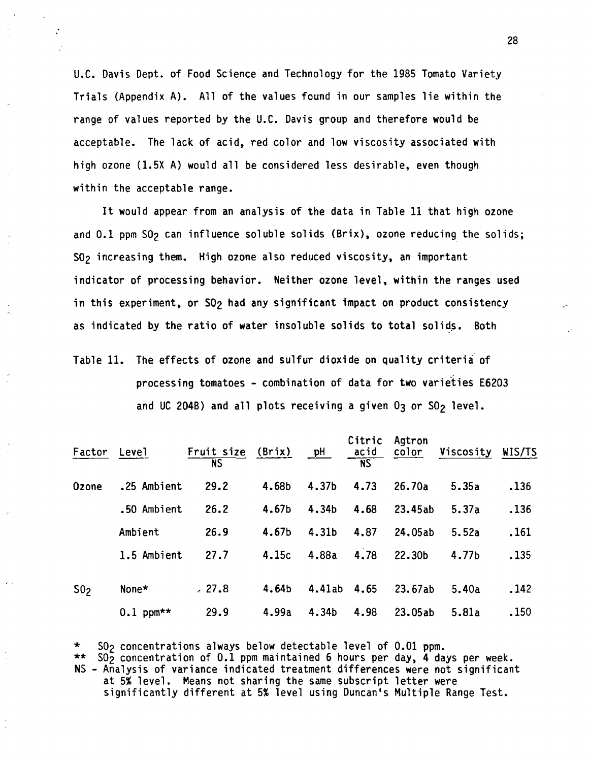U.C. Davis Dept. of Food Science and Technology for the 1985 Tomato Variety Trials (Appendix A). All of the values found in our samples lie within the range of values reported by the U.C. Davis group and therefore would be acceptable. The lack of acid, red color and low viscosity associated with high ozone (1.5X A) would all be considered less desirable, even though within the acceptable range.

It would appear from an analysis of the data in Table 11 that high ozone and 0.1 ppm S02 can influence soluble solids (Brix), ozone reducing the solids; S02 increasing them. High ozone also reduced viscosity, an important indicator of processing behavior. Neither ozone level, within the ranges used in this experiment, or SO<sub>2</sub> had any significant impact on product consistency as indicated by the ratio of water insoluble solids to total solids. Both

Table 11. The effects of ozone and sulfur dioxide on quality criteria of processing tomatoes - combination of data for two varieties E6203 and UC 204B) and all plots receiving a given  $0<sub>3</sub>$  or  $50<sub>2</sub>$  level.

| Factor          | Level       | Fruit size (Brix)<br><b>NS</b> |       | pH     | Citric<br>acid<br>$\overline{\text{NS}}$ | Agtron<br>color | Viscosity | WIS/TS |
|-----------------|-------------|--------------------------------|-------|--------|------------------------------------------|-----------------|-----------|--------|
| Ozone           | .25 Ambient | 29.2                           | 4.68b | 4.37b  | 4.73                                     | 26.70a          | 5.35a     | .136   |
|                 | .50 Ambient | 26.2                           | 4.67b | 4.34b  | 4.68                                     | 23.45ab         | 5.37a     | .136   |
|                 | Ambient     | 26.9                           | 4.67b | 4.31b  | 4.87                                     | 24.05ab         | 5.52a     | .161   |
|                 | 1.5 Ambient | 27.7                           | 4.15c | 4.88a  | 4.78                                     | 22.30b          | 4.77b     | .135   |
| S0 <sub>2</sub> | None*       | .27.8                          | 4.64b | 4.41ab | 4.65                                     | 23.67ab         | 5.40a     | .142   |
|                 | $0.1$ ppm** | 29.9                           | 4.99a | 4.34b  | 4.98                                     | 23.05ab         | 5.81a     | .150   |

\* S0<sub>2</sub> concentrations always below detectable level of 0.01 ppm.<br>\*\* S0<sub>2</sub> concentration of 0.1 ppm maintained 6 hours per day, 4 days per week. NS - Analysis of variance indicated treatment differences were not significant at 5% level. Means not sharing the same subscript letter were significantly different at 5% level using Duncan's Multiple Range Test.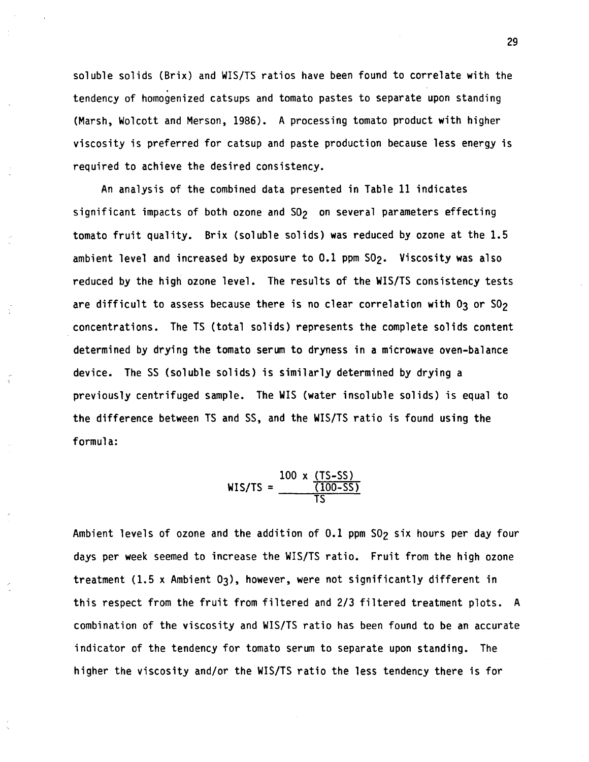soluble solids (Brix) and WIS/TS ratios have been found to correlate with the tendency of homogenized catsups and tomato pastes to separate upon standing (Marsh, Wolcott and Merson, 1986). A processing tomato product **with** higher viscosity is preferred for catsup and paste production because **less** energy is required to achieve the desired consistency.

An analysis of the combined data presented in Table 11 indicates significant impacts of both ozone and  $S0<sub>2</sub>$  on several parameters effecting tomato fruit quality. Brix (soluble solids) was reduced by ozone at the 1.5 ambient level and increased by exposure to 0.1 ppm S02. Viscosity was also reduced by the high ozone level. The results of the WIS/TS consistency tests are difficult to assess because there is no clear correlation with  $0<sub>3</sub>$  or  $S0<sub>2</sub>$ concentrations. The TS (total solids) represents the complete solids content determined by drying the tomato serum to dryness in a microwave oven-balance device. The SS (soluble solids) is similarly determined by drying a previously centrifuged sample. The WIS (water insoluble solids) is equal to the difference between TS and SS, and the WIS/TS ratio is found using the formula:

WIS/TS = 
$$
\frac{100 \times (TS-SS)}{(100-SS)}
$$

Ambient levels of ozone and the addition of 0.1 ppm SO<sub>2</sub> six hours per day four days per week seemed to increase the WIS/TS ratio. Fruit from the high ozone treatment  $(1.5 \times$  Ambient  $0<sub>3</sub>)$ , however, were not significantly different in this respect from the fruit from filtered and 2/3 filtered treatment plots. A combination of the viscosity and WIS/TS ratio has been found to be an accurate indicator of the tendency for tomato serum to separate upon standing. The higher the viscosity and/or the WIS/TS ratio the less tendency there is for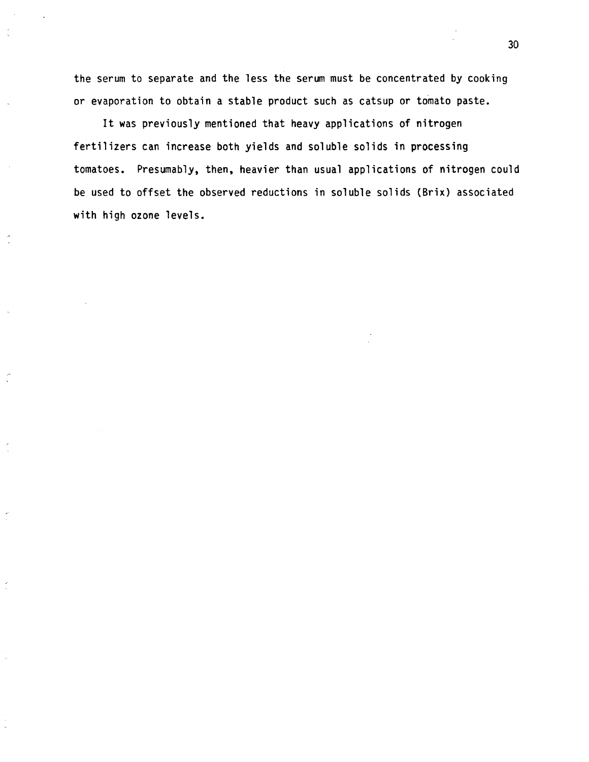the serum to separate and the less the serum must be concentrated by cooking or evaporation to obtain a stable product such as catsup or tomato paste.

It was previously mentioned that heavy applications of nitrogen fertilizers can increase both yields and soluble solids in processing tomatoes. Presumably, then, heavier than usual applications of nitrogen could be used to offset the observed reductions in soluble solids (Brix) associated with high ozone levels.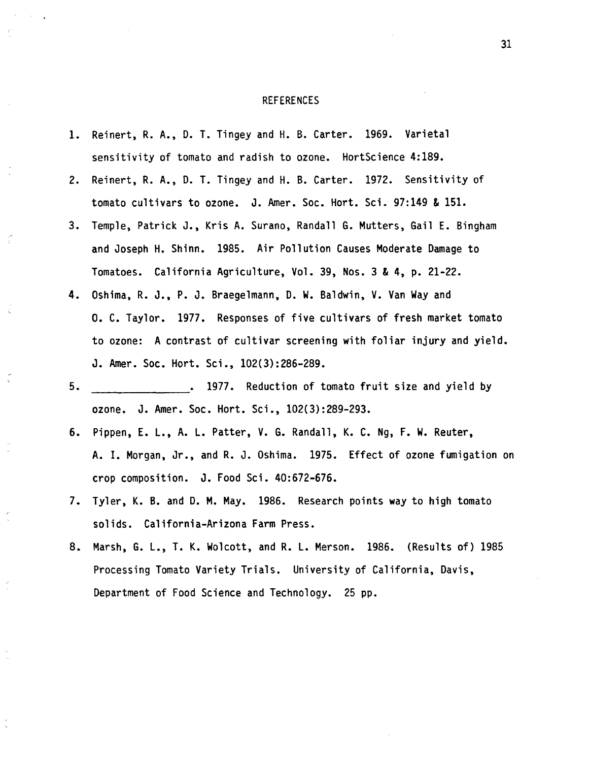#### REFERENCES

- 1. Reinert, R. A., D. T. Tingey and H.B. Carter. 1969. Varietal sensitivity of tomato and radish to ozone. HortScience 4:189.
- 2. Reinert, R. A., D. T. Tingey and H.B. Carter. 1972. Sensitivity of tomato cultivars to ozone. J. Amer. Soc. Hort. Sci. 97:149 & 151.
- 3. Temple, Patrick J., Kris A. Surano, Randall G. Mutters, Gail E. Bingham and Joseph H. Shinn. 1985. Air Pollution Causes Moderate Damage to Tomatoes. California Agriculture, Vol. 39, Nos. 3 & 4, p. 21-22.
- **4.** Oshima, R. J., P. J. Braegelmann, D. W. Baldwin, V. Van Way and 0. C. Taylor. 1977. Responses of five cultivars of fresh market tomato to ozone: A contrast of cultivar screening with foliar injury and yield. J. Amer. Soc. Hort. Sci., 102(3):286-289.
- 5. **1977.** Reduction of tomato fruit size and yield by ozone. J. Amer. Soc. Hort. Sci., 102(3):289-293.
- 6. Pippen, E. L., A. L. Patter, **V. G.** Randall, K. C. Ng, F. W. Reuter, A. I. Morgan, Jr., and R. J. Oshima. 1975. Effect of ozone fumigation on crop composition. J. Food Sci. 40:672-676.
- 7. Tyler, K. B. and D. M. May. 1986. Research points way to high tomato solids. California-Arizona Farm Press.
- 8. Marsh, G. L., T. K. Wolcott, and R. L. Merson. 1986. (Results of) 1985 Processing Tomato Variety Trials. University of California, Davis, Department of Food Science and Technology. 25 pp.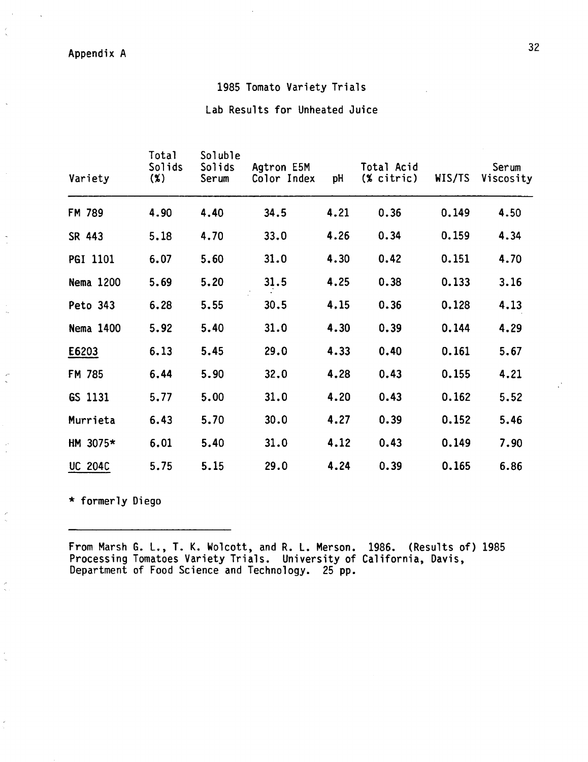32 Appendix A

## 1985 Tomato Variety Trials

Lab Results for Unheated Juice

| Variety        | Total<br>Solids<br>$(\%)$ | Soluble<br>Solids<br>Serum | Agtron E5M<br>Color Index | pH   | Total Acid<br>$%$ citric) | WIS/TS | Serum<br>Viscosity |
|----------------|---------------------------|----------------------------|---------------------------|------|---------------------------|--------|--------------------|
| FM 789         | 4.90                      | 4.40                       | 34.5                      | 4.21 | 0.36                      | 0.149  | 4.50               |
| SR 443         | 5.18                      | 4.70                       | 33.0                      | 4.26 | 0.34                      | 0.159  | 4.34               |
| PGI 1101       | 6.07                      | 5.60                       | 31.0                      | 4.30 | 0.42                      | 0.151  | 4.70               |
| Nema 1200      | 5.69                      | 5.20                       | 31.5                      | 4.25 | 0.38                      | 0.133  | 3.16               |
| Peto 343       | 6.28                      | 5.55                       | 30.5                      | 4.15 | 0.36                      | 0.128  | 4.13               |
| Nema 1400      | 5.92                      | 5.40                       | 31.0                      | 4.30 | 0.39                      | 0.144  | 4.29               |
| E6203          | 6.13                      | 5.45                       | 29.0                      | 4.33 | 0.40                      | 0.161  | 5.67               |
| FM 785         | 6.44                      | 5.90                       | 32.0                      | 4.28 | 0.43                      | 0.155  | 4.21               |
| GS 1131        | 5.77                      | 5.00                       | 31.0                      | 4.20 | 0.43                      | 0.162  | 5.52               |
| Murrieta       | 6.43                      | 5.70                       | 30.0                      | 4.27 | 0.39                      | 0.152  | 5.46               |
| HM 3075*       | 6.01                      | 5.40                       | 31.0                      | 4.12 | 0.43                      | 0.149  | 7.90               |
| <b>UC 204C</b> | 5.75                      | 5.15                       | 29.0                      | 4.24 | 0.39                      | 0.165  | 6.86               |

\* formerly Diego

 $\frac{1}{2}$ 

 $\frac{1}{2}$ 

From Marsh G. L., T. K. Wolcott, and R. L. Merson. 1986. (Results of) 1985 Processing Tomatoes Variety Trials. University of California, Davis, Department of Food Science and Technology. 25 pp.